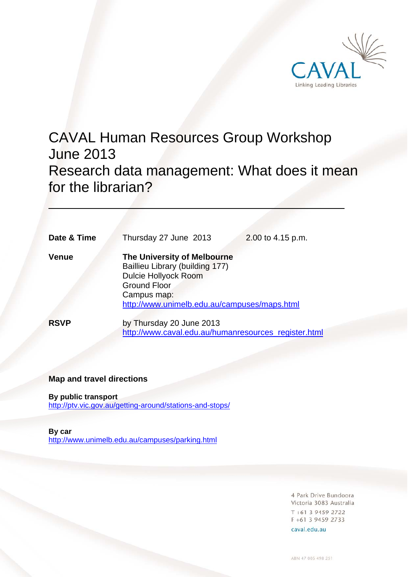

# CAVAL Human Resources Group Workshop June 2013 Research data management: What does it mean for the librarian?  $\overline{a}$

| Date & Time  | Thursday 27 June 2013<br>2.00 to 4.15 p.m.                                                                                                                                          |
|--------------|-------------------------------------------------------------------------------------------------------------------------------------------------------------------------------------|
| <b>Venue</b> | The University of Melbourne<br>Baillieu Library (building 177)<br><b>Dulcie Hollyock Room</b><br><b>Ground Floor</b><br>Campus map:<br>http://www.unimelb.edu.au/campuses/maps.html |
| <b>RSVP</b>  | by Thursday 20 June 2013<br>http://www.caval.edu.au/humanresources register.html                                                                                                    |

### **Map and travel directions**

**By public transport**  http://ptv.vic.gov.au/getting-around/stations-and-stops/

**By car**  http://www.unimelb.edu.au/campuses/parking.html

> 4 Park Drive Bundoora Victoria 3083 Australia  $T + 61$  3 9459 2722  $F + 61$  3 9459 2733

caval.edu.au